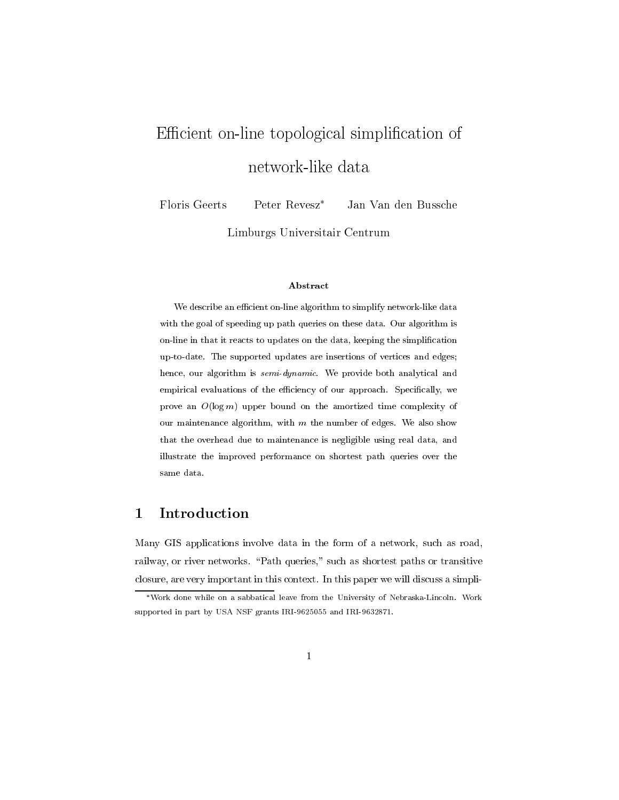# Efficient on-line topological simplification of network-like data

Floris Geerts Peter Revesz\* Jan Van den Bussche

Limburgs Universitair Centrum

### Abstract

We describe an efficient on-line algorithm to simplify network-like data with the goal of speeding up path queries on these data. Our algorithm is on-line in that it reacts to updates on the data, keeping the simplification up-to-date. The supported updates are insertions of vertices and edges; hence, our algorithm is semi-dynamic. We provide both analytical and empirical evaluations of the efficiency of our approach. Specifically, we prove an  $O(\log m)$  upper bound on the amortized time complexity of our maintenance algorithm, with  $m$  the number of edges. We also show that the overhead due to maintenance is negligible using real data, and illustrate the improved performance on shortest path queries over the same data.

#### Introduction  $\mathbf{1}$

Many GIS applications involve data in the form of a network, such as road, railway, or river networks. "Path queries," such as shortest paths or transitive closure, are very important in this context. In this paper we will discuss a simpli-

<sup>\*</sup>Work done while on a sabbatical leave from the University of Nebraska-Lincoln. Work supported in part by USA NSF grants IRI-9625055 and IRI-9632871.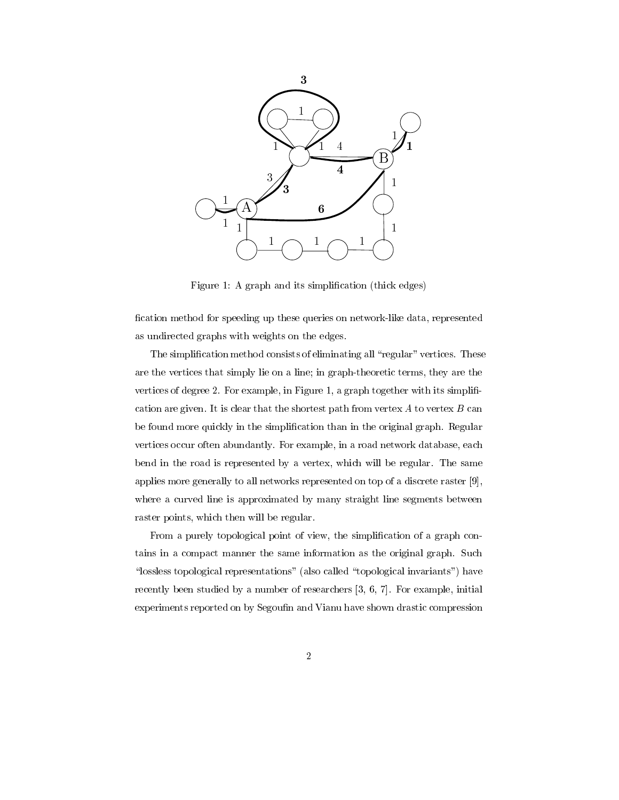

Figure 1: A graph and its simplification (thick edges)

fication method for speeding up these queries on network-like data, represented as undirected graphs with weights on the edges.

The simplification method consists of eliminating all "regular" vertices. These are the vertices that simply lie on a line; in graph-theoretic terms, they are the vertices of degree 2. For example, in Figure 1, a graph together with its simplification are given. It is clear that the shortest path from vertex  $A$  to vertex  $B$  can be found more quickly in the simplification than in the original graph. Regular vertices occur often abundantly. For example, in a road network database, each bend in the road is represented by a vertex, which will be regular. The same applies more generally to all networks represented on top of a discrete raster [9], where a curved line is approximated by many straight line segments between raster points, which then will be regular.

From a purely topological point of view, the simplification of a graph contains in a compact manner the same information as the original graph. Such "lossless topological representations" (also called "topological invariants") have recently been studied by a number of researchers  $[3, 6, 7]$ . For example, initial experiments reported on by Segoufin and Vianu have shown drastic compression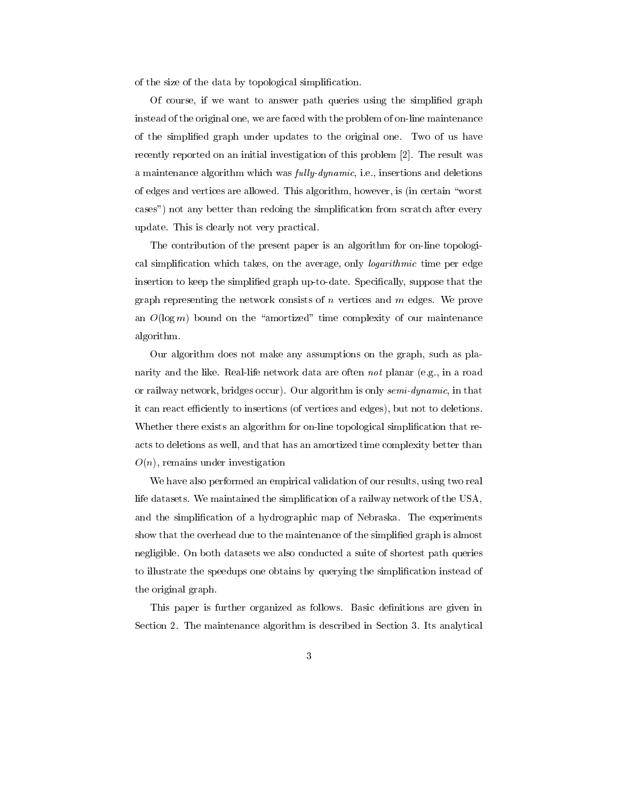of the size of the data by topological simplification.

Of course, if we want to answer path queries using the simplified graph instead of the original one, we are faced with the problem of on-line maintenance of the simplified graph under updates to the original one. Two of us have recently reported on an initial investigation of this problem [2]. The result was a maintenance algorithm which was *fully-dynamic*, i.e., insertions and deletions of edges and vertices are allowed. This algorithm, however, is (in certain "worst") cases") not any better than redoing the simplification from scratch after every update. This is clearly not very practical.

The contribution of the present paper is an algorithm for on-line topological simplification which takes, on the average, only *logarithmic* time per edge insertion to keep the simplified graph up-to-date. Specifically, suppose that the graph representing the network consists of  $n$  vertices and  $m$  edges. We prove an  $O(\log m)$  bound on the "amortized" time complexity of our maintenance algorithm.

Our algorithm does not make any assumptions on the graph, such as planarity and the like. Real-life network data are often not planar (e.g., in a road or railway network, bridges occur). Our algorithm is only *semi-dynamic*, in that it can react efficiently to insertions (of vertices and edges), but not to deletions. Whether there exists an algorithm for on-line topological simplification that reacts to deletions as well, and that has an amortized time complexity better than  $O(n)$ , remains under investigation

We have also performed an empirical validation of our results, using two real life datasets. We maintained the simplification of a railway network of the USA, and the simplification of a hydrographic map of Nebraska. The experiments show that the overhead due to the maintenance of the simplified graph is almost negligible. On both datasets we also conducted a suite of shortest path queries to illustrate the speedups one obtains by querying the simplification instead of the original graph.

This paper is further organized as follows. Basic definitions are given in Section 2. The maintenance algorithm is described in Section 3. Its analytical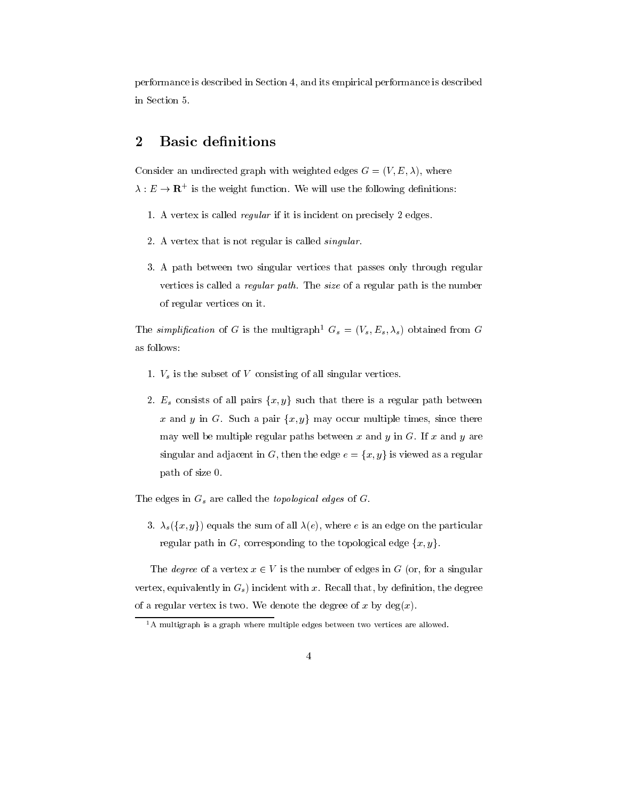performance is described in Section 4, and its empirical performance is described in Section 5.

#### $\overline{2}$ **Basic definitions**

Consider an undirected graph with weighted edges  $G = (V, E, \lambda)$ , where  $\lambda: E \to \mathbf{R}^+$  is the weight function. We will use the following definitions:

- 1. A vertex is called *regular* if it is incident on precisely 2 edges.
- 2. A vertex that is not regular is called *singular*.
- 3. A path between two singular vertices that passes only through regular vertices is called a *regular path*. The *size* of a regular path is the number of regular vertices on it.

The simplification of G is the multigraph<sup>1</sup>  $G_s = (V_s, E_s, \lambda_s)$  obtained from G as follows:

- 1.  $V_s$  is the subset of V consisting of all singular vertices.
- 2.  $E_s$  consists of all pairs  $\{x, y\}$  such that there is a regular path between x and y in G. Such a pair  $\{x, y\}$  may occur multiple times, since there may well be multiple regular paths between x and y in G. If x and y are singular and adjacent in  $G$ , then the edge  $e = \{x, y\}$  is viewed as a regular path of size 0.

The edges in  $G_s$  are called the *topological edges* of  $G$ .

3.  $\lambda_s(\lbrace x,y \rbrace)$  equals the sum of all  $\lambda(e)$ , where e is an edge on the particular regular path in G, corresponding to the topological edge  $\{x, y\}$ .

The *degree* of a vertex  $x \in V$  is the number of edges in G (or, for a singular vertex, equivalently in  $G_s$ ) incident with x. Recall that, by definition, the degree of a regular vertex is two. We denote the degree of x by  $deg(x)$ .

 ${}^{1}$ A multigraph is a graph where multiple edges between two vertices are allowed.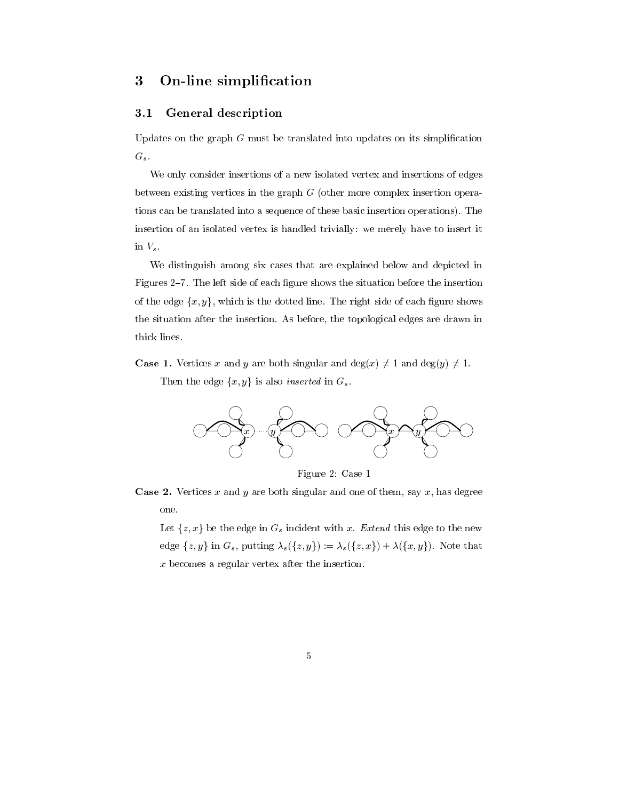#### On-line simplification 3

#### **General description**  $3.1$

Updates on the graph  $G$  must be translated into updates on its simplification  $G_s$ .

We only consider insertions of a new isolated vertex and insertions of edges between existing vertices in the graph  $G$  (other more complex insertion operations can be translated into a sequence of these basic insertion operations). The insertion of an isolated vertex is handled trivially: we merely have to insert it in  $V_s$ .

We distinguish among six cases that are explained below and depicted in Figures 2-7. The left side of each figure shows the situation before the insertion of the edge  $\{x, y\}$ , which is the dotted line. The right side of each figure shows the situation after the insertion. As before, the topological edges are drawn in thick lines.

**Case 1.** Vertices x and y are both singular and  $deg(x) \neq 1$  and  $deg(y) \neq 1$ .

Then the edge  $\{x, y\}$  is also *inserted* in  $G_s$ .



Figure 2: Case 1

**Case 2.** Vertices x and y are both singular and one of them, say x, has degree one.

Let  $\{z, x\}$  be the edge in  $G_s$  incident with x. Extend this edge to the new edge  $\{z, y\}$  in  $G_s$ , putting  $\lambda_s(\{z, y\}) := \lambda_s(\{z, x\}) + \lambda(\{x, y\})$ . Note that  $x$  becomes a regular vertex after the insertion.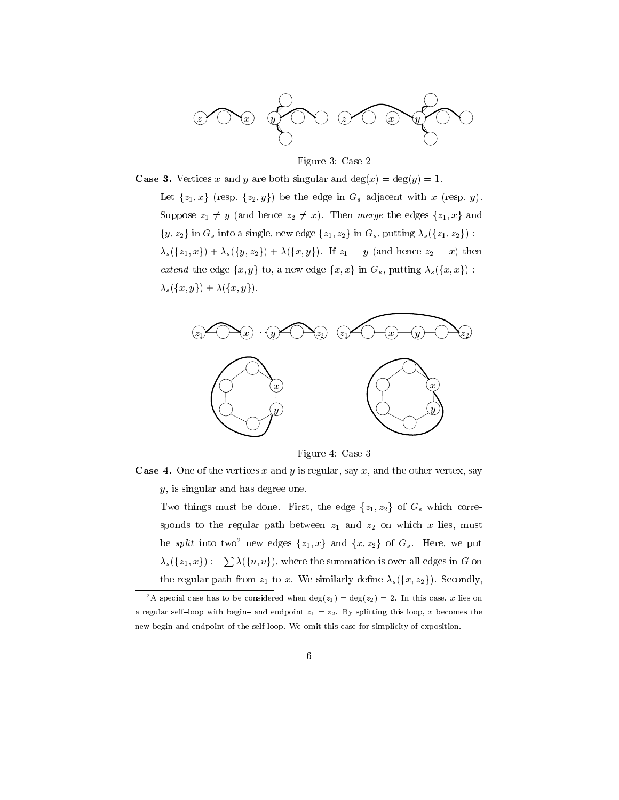

Figure 3: Case 2

**Case 3.** Vertices x and y are both singular and  $deg(x) = deg(y) = 1$ .

Let  $\{z_1, x\}$  (resp.  $\{z_2, y\}$ ) be the edge in  $G_s$  adjacent with x (resp. y). Suppose  $z_1 \neq y$  (and hence  $z_2 \neq x$ ). Then merge the edges  $\{z_1, x\}$  and  $\{y,z_2\}$  in  $G_s$  into a single, new edge  $\{z_1,z_2\}$  in  $G_s$ , putting  $\lambda_s(\{z_1,z_2\})$ :  $\lambda_s({z_1,x}) + \lambda_s({y,z_2}) + \lambda({x,y}).$  If  $z_1 = y$  (and hence  $z_2 = x$ ) then *extend* the edge  $\{x, y\}$  to, a new edge  $\{x, x\}$  in  $G_s$ , putting  $\lambda_s(\{x, x\})$ :=  $\lambda_s(\lbrace x,y \rbrace) + \lambda(\lbrace x,y \rbrace).$ 



Figure 4: Case 3

**Case 4.** One of the vertices x and y is regular, say x, and the other vertex, say  $y$ , is singular and has degree one.

Two things must be done. First, the edge  $\{z_1, z_2\}$  of  $G_s$  which corresponds to the regular path between  $z_1$  and  $z_2$  on which x lies, must be *split* into two<sup>2</sup> new edges  $\{z_1, x\}$  and  $\{x, z_2\}$  of  $G_s$ . Here, we put  $\lambda_s(\{z_1,x\}) := \sum \lambda(\{u,v\}),$  where the summation is over all edges in G on the regular path from  $z_1$  to x. We similarly define  $\lambda_s({x,z_2})$ . Secondly,

<sup>&</sup>lt;sup>2</sup>A special case has to be considered when  $deg(z_1) = deg(z_2) = 2$ . In this case, x lies on a regular self-loop with begin- and endpoint  $z_1 = z_2$ . By splitting this loop, x becomes the new begin and endpoint of the self-loop. We omit this case for simplicity of exposition.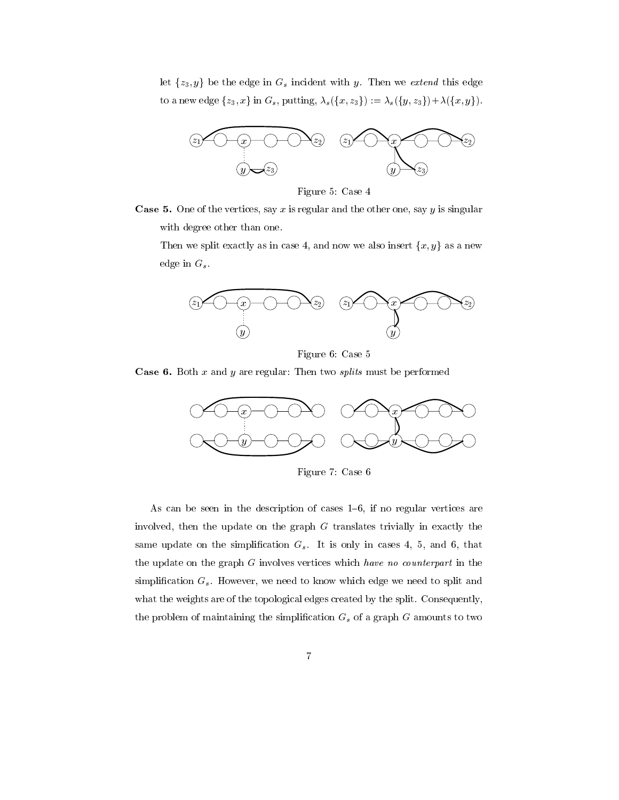let  $\{z_3, y\}$  be the edge in  $G_s$  incident with y. Then we extend this edge to a new edge  $\{z_3, x\}$  in  $G_s$ , putting,  $\lambda_s(\{x, z_3\}) := \lambda_s(\{y, z_3\}) + \lambda(\{x, y\}).$ 



Figure 5: Case 4



Then we split exactly as in case 4, and now we also insert  $\{x, y\}$  as a new edge in  $G_s$ .



Figure 6: Case 5

**Case 6.** Both  $x$  and  $y$  are regular: Then two *splits* must be performed



Figure 7: Case 6

As can be seen in the description of cases  $1-6$ , if no regular vertices are involved, then the update on the graph  $G$  translates trivially in exactly the same update on the simplification  $G_s$ . It is only in cases 4, 5, and 6, that the update on the graph  $G$  involves vertices which have no counterpart in the simplification  $G_s$ . However, we need to know which edge we need to split and what the weights are of the topological edges created by the split. Consequently, the problem of maintaining the simplification  $G_s$  of a graph  $G$  amounts to two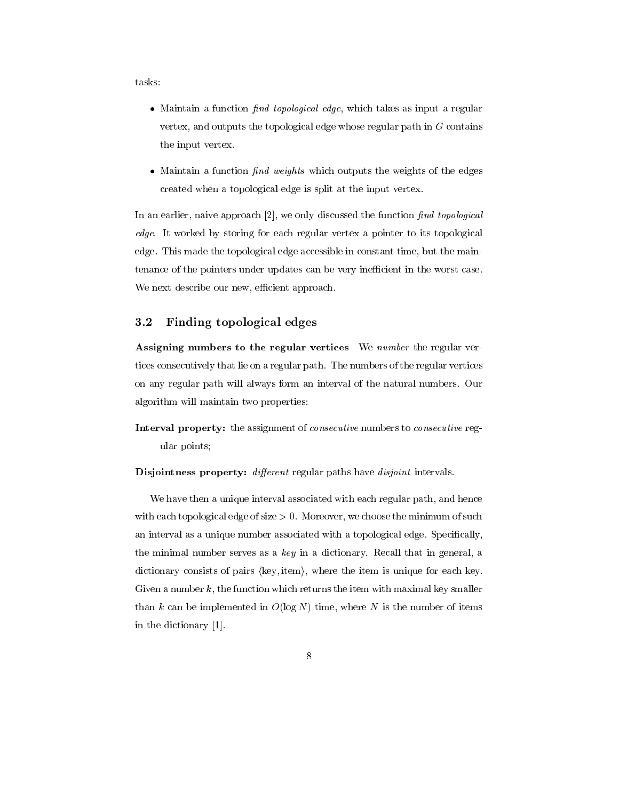tasks:

- Maintain a function *find topological edge*, which takes as input a regular vertex, and outputs the topological edge whose regular path in  $G$  contains the input vertex.
- Maintain a function  $find$  weights which outputs the weights of the edges created when a topological edge is split at the input vertex.

In an earlier, naive approach [2], we only discussed the function find topological edge. It worked by storing for each regular vertex a pointer to its topological edge. This made the topological edge accessible in constant time, but the maintenance of the pointers under updates can be very inefficient in the worst case. We next describe our new, efficient approach.

#### $3.2$ Finding topological edges

Assigning numbers to the regular vertices We number the regular vertices consecutively that lie on a regular path. The numbers of the regular vertices on any regular path will always form an interval of the natural numbers. Our algorithm will maintain two properties:

Interval property: the assignment of *consecutive* numbers to *consecutive* regular points;

Disjointness property: different regular paths have disjoint intervals.

We have then a unique interval associated with each regular path, and hence with each topological edge of size  $> 0$ . Moreover, we choose the minimum of such an interval as a unique number associated with a topological edge. Specifically, the minimal number serves as a  $key$  in a dictionary. Recall that in general, a dictionary consists of pairs (key, item), where the item is unique for each key. Given a number  $k$ , the function which returns the item with maximal key smaller than k can be implemented in  $O(\log N)$  time, where N is the number of items in the dictionary [1].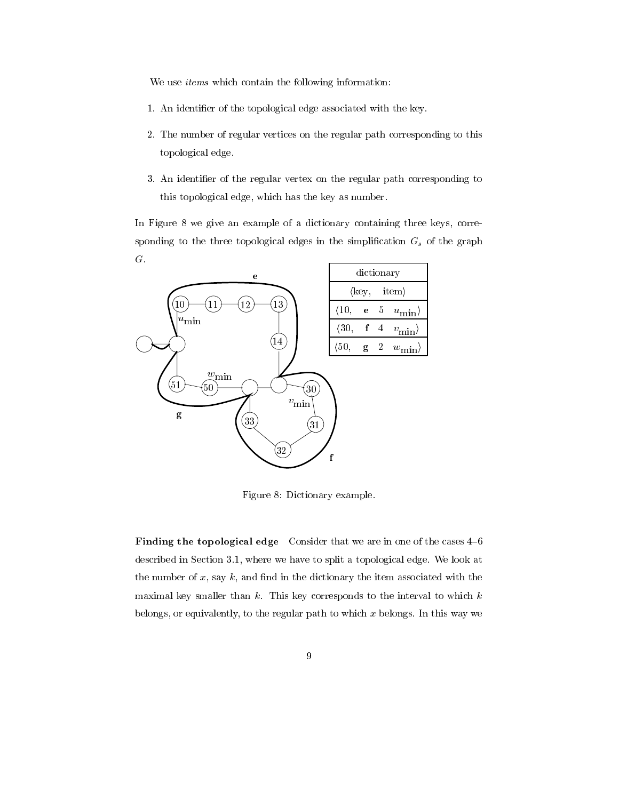We use *items* which contain the following information:

- 1. An identifier of the topological edge associated with the key.
- 2. The number of regular vertices on the regular path corresponding to this topological edge.
- 3. An identifier of the regular vertex on the regular path corresponding to this topological edge, which has the key as number.

In Figure 8 we give an example of a dictionary containing three keys, corresponding to the three topological edges in the simplification  $G_s$  of the graph  $G$ .



Figure 8: Dictionary example.

Finding the topological edge Consider that we are in one of the cases 4-6 described in Section 3.1, where we have to split a topological edge. We look at the number of  $x$ , say  $k$ , and find in the dictionary the item associated with the maximal key smaller than  $k$ . This key corresponds to the interval to which  $k$ belongs, or equivalently, to the regular path to which  $x$  belongs. In this way we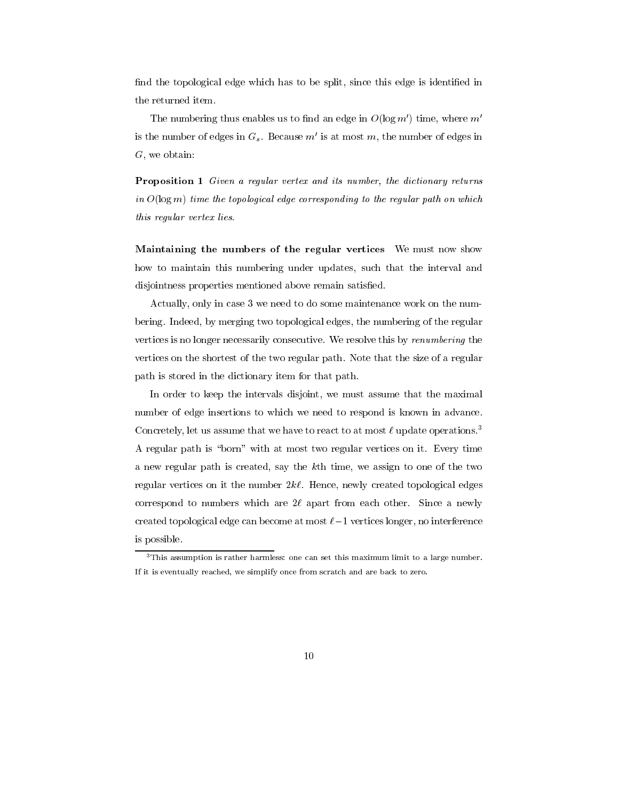find the topological edge which has to be split, since this edge is identified in the returned item.

The numbering thus enables us to find an edge in  $O(\log m')$  time, where m' is the number of edges in  $G_s$ . Because m' is at most m, the number of edges in  $G$ , we obtain:

**Proposition 1** Given a regular vertex and its number, the dictionary returns in  $O(\log m)$  time the topological edge corresponding to the regular path on which this regular vertex lies.

Maintaining the numbers of the regular vertices We must now show how to maintain this numbering under updates, such that the interval and disjointness properties mentioned above remain satisfied.

Actually, only in case 3 we need to do some maintenance work on the numbering. Indeed, by merging two topological edges, the numbering of the regular vertices is no longer necessarily consecutive. We resolve this by renumbering the vertices on the shortest of the two regular path. Note that the size of a regular path is stored in the dictionary item for that path.

In order to keep the intervals disjoint, we must assume that the maximal number of edge insertions to which we need to respond is known in advance. Concretely, let us assume that we have to react to at most  $\ell$  update operations.<sup>3</sup> A regular path is "born" with at most two regular vertices on it. Every time a new regular path is created, say the kth time, we assign to one of the two regular vertices on it the number  $2k\ell$ . Hence, newly created topological edges correspond to numbers which are  $2\ell$  apart from each other. Since a newly created topological edge can become at most  $\ell-1$  vertices longer, no interference is possible.

 $3$ This assumption is rather harmless: one can set this maximum limit to a large number. If it is eventually reached, we simplify once from scratch and are back to zero.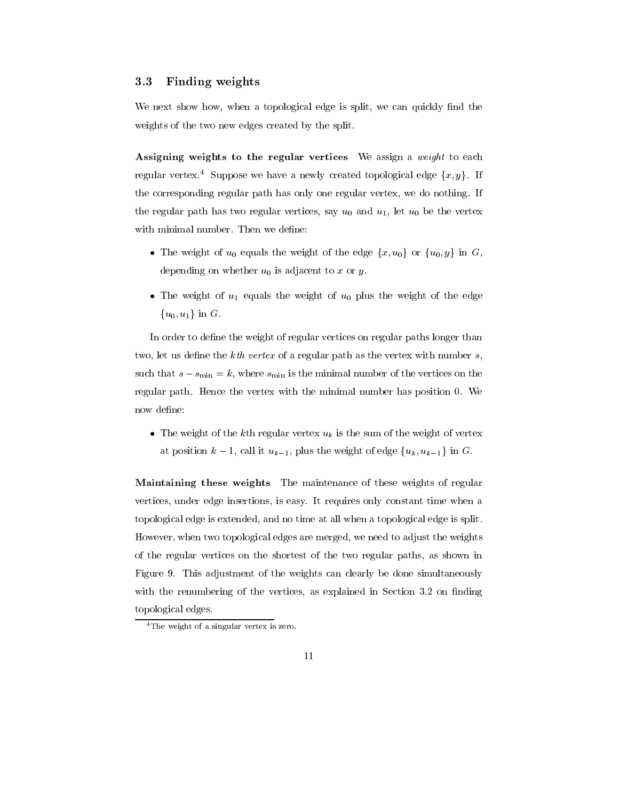#### 3.3 Finding weights

We next show how, when a topological edge is split, we can quickly find the weights of the two new edges created by the split.

Assigning weights to the regular vertices We assign a *weight* to each regular vertex.<sup>4</sup> Suppose we have a newly created topological edge  $\{x, y\}$ . If the corresponding regular path has only one regular vertex, we do nothing. If the regular path has two regular vertices, say  $u_0$  and  $u_1$ , let  $u_0$  be the vertex with minimal number. Then we define:

- The weight of  $u_0$  equals the weight of the edge  $\{x, u_0\}$  or  $\{u_0, y\}$  in G, depending on whether  $u_0$  is adjacent to x or y.
- The weight of  $u_1$  equals the weight of  $u_0$  plus the weight of the edge  ${u_0, u_1}$  in G.

In order to define the weight of regular vertices on regular paths longer than two, let us define the  $kth$  vertex of a regular path as the vertex with number  $s$ , such that  $s - s_{\min} = k$ , where  $s_{\min}$  is the minimal number of the vertices on the regular path. Hence the vertex with the minimal number has position 0. We now define:

• The weight of the kth regular vertex  $u_k$  is the sum of the weight of vertex at position  $k-1$ , call it  $u_{k-1}$ , plus the weight of edge  $\{u_k, u_{k-1}\}\$  in G.

Maintaining these weights The maintenance of these weights of regular vertices, under edge insertions, is easy. It requires only constant time when a topological edge is extended, and no time at all when a topological edge is split. However, when two topological edges are merged, we need to adjust the weights of the regular vertices on the shortest of the two regular paths, as shown in Figure 9. This adjustment of the weights can clearly be done simultaneously with the renumbering of the vertices, as explained in Section 3.2 on finding topological edges.

 $4$ The weight of a singular vertex is zero.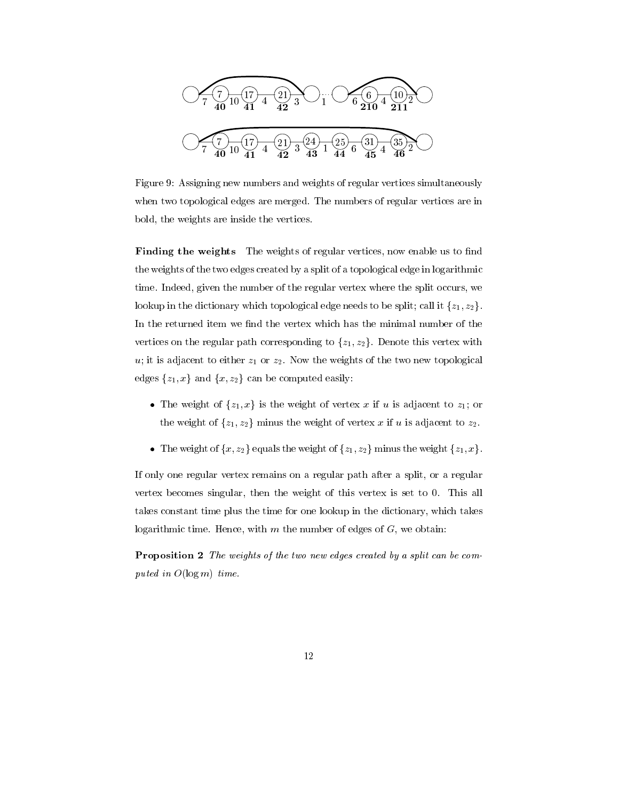

Figure 9: Assigning new numbers and weights of regular vertices simultaneously when two topological edges are merged. The numbers of regular vertices are in bold, the weights are inside the vertices.

Finding the weights The weights of regular vertices, now enable us to find the weights of the two edges created by a split of a topological edge in logarithmic time. Indeed, given the number of the regular vertex where the split occurs, we lookup in the dictionary which topological edge needs to be split; call it  $\{z_1, z_2\}$ . In the returned item we find the vertex which has the minimal number of the vertices on the regular path corresponding to  $\{z_1, z_2\}$ . Denote this vertex with  $u$ ; it is adjacent to either  $z_1$  or  $z_2$ . Now the weights of the two new topological edges  $\{z_1, x\}$  and  $\{x, z_2\}$  can be computed easily:

- The weight of  $\{z_1, x\}$  is the weight of vertex x if u is adjacent to  $z_1$ ; or the weight of  $\{z_1, z_2\}$  minus the weight of vertex x if u is adjacent to  $z_2$ .
- The weight of  $\{x, z_2\}$  equals the weight of  $\{z_1, z_2\}$  minus the weight  $\{z_1, x\}$ .

If only one regular vertex remains on a regular path after a split, or a regular vertex becomes singular, then the weight of this vertex is set to 0. This all takes constant time plus the time for one lookup in the dictionary, which takes logarithmic time. Hence, with  $m$  the number of edges of  $G$ , we obtain:

**Proposition 2** The weights of the two new edges created by a split can be computed in  $O(\log m)$  time.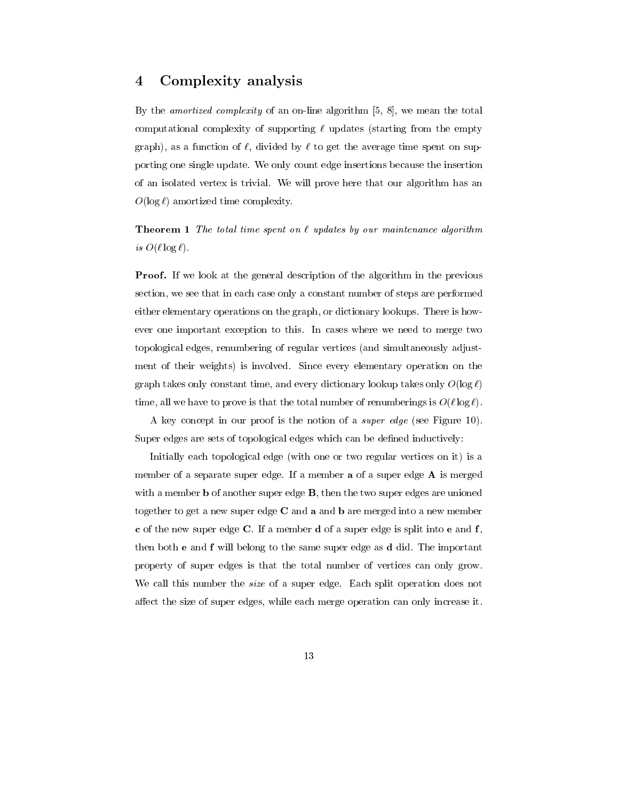#### Complexity analysis  $\overline{\mathbf{4}}$

By the *amortized complexity* of an on-line algorithm  $[5, 8]$ , we mean the total computational complexity of supporting  $\ell$  updates (starting from the empty graph), as a function of  $\ell$ , divided by  $\ell$  to get the average time spent on supporting one single update. We only count edge insertions because the insertion of an isolated vertex is trivial. We will prove here that our algorithm has an  $O(\log \ell)$  amortized time complexity.

**Theorem 1** The total time spent on  $\ell$  updates by our maintenance algorithm is  $O(\ell \log \ell)$ .

**Proof.** If we look at the general description of the algorithm in the previous section, we see that in each case only a constant number of steps are performed either elementary operations on the graph, or dictionary lookups. There is however one important exception to this. In cases where we need to merge two topological edges, renumbering of regular vertices (and simultaneously adjustment of their weights) is involved. Since every elementary operation on the graph takes only constant time, and every dictionary lookup takes only  $O(\log \ell)$ time, all we have to prove is that the total number of renumberings is  $O(\ell \log \ell)$ .

A key concept in our proof is the notion of a *super edge* (see Figure 10). Super edges are sets of topological edges which can be defined inductively:

Initially each topological edge (with one or two regular vertices on it) is a member of a separate super edge. If a member **a** of a super edge  $\bf{A}$  is merged with a member  $\bf{b}$  of another super edge  $\bf{B}$ , then the two super edges are unioned together to get a new super edge  $C$  and  $a$  and  $b$  are merged into a new member c of the new super edge C. If a member d of a super edge is split into e and  $f$ , then both **e** and **f** will belong to the same super edge as **d** did. The important property of super edges is that the total number of vertices can only grow. We call this number the *size* of a super edge. Each split operation does not affect the size of super edges, while each merge operation can only increase it.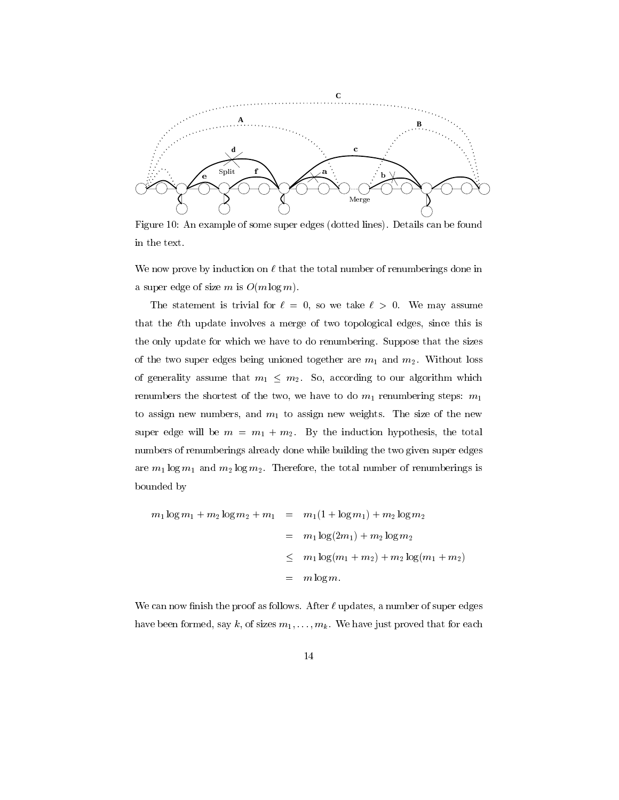

Figure 10: An example of some super edges (dotted lines). Details can be found in the text.

We now prove by induction on  $\ell$  that the total number of renumberings done in a super edge of size m is  $O(m \log m)$ .

The statement is trivial for  $\ell = 0$ , so we take  $\ell > 0$ . We may assume that the  $\ell$ th update involves a merge of two topological edges, since this is the only update for which we have to do renumbering. Suppose that the sizes of the two super edges being unioned together are  $m_1$  and  $m_2$ . Without loss of generality assume that  $m_1 \leq m_2$ . So, according to our algorithm which renumbers the shortest of the two, we have to do  $m_1$  renumbering steps:  $m_1$ to assign new numbers, and  $m_1$  to assign new weights. The size of the new super edge will be  $m = m_1 + m_2$ . By the induction hypothesis, the total numbers of renumberings already done while building the two given super edges are  $m_1 \log m_1$  and  $m_2 \log m_2$ . Therefore, the total number of renumberings is bounded by

$$
m_1 \log m_1 + m_2 \log m_2 + m_1 = m_1 (1 + \log m_1) + m_2 \log m_2
$$
  
=  $m_1 \log(2m_1) + m_2 \log m_2$   
 $\leq m_1 \log(m_1 + m_2) + m_2 \log(m_1 + m_2)$   
=  $m \log m$ .

We can now finish the proof as follows. After  $\ell$  updates, a number of super edges have been formed, say k, of sizes  $m_1, \ldots, m_k$ . We have just proved that for each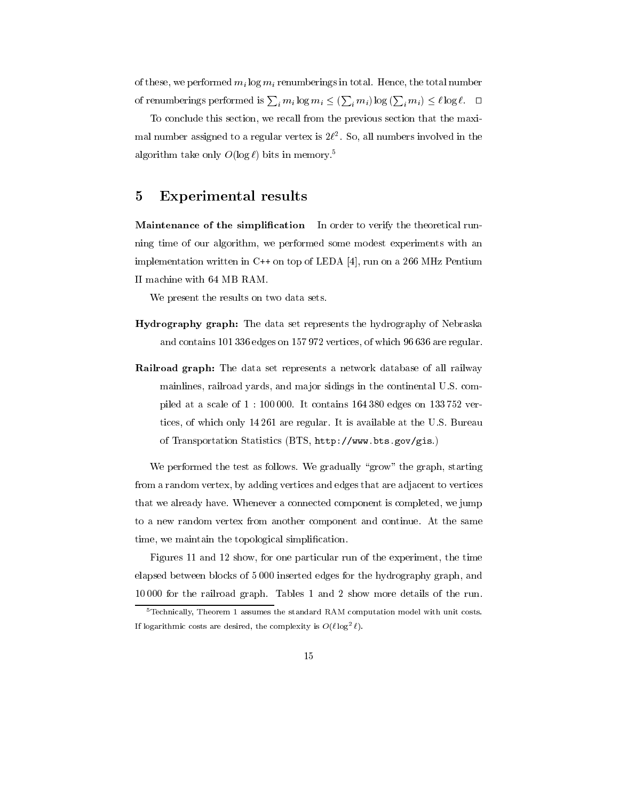of these, we performed  $m_i \log m_i$  renumberings in total. Hence, the total number of renumberings performed is  $\sum_i m_i \log m_i \leq (\sum_i m_i) \log (\sum_i m_i) \leq \ell \log \ell$ .  $\Box$ 

To conclude this section, we recall from the previous section that the maximal number assigned to a regular vertex is  $2\ell^2$ . So, all numbers involved in the algorithm take only  $O(\log \ell)$  bits in memory.<sup>5</sup>

#### Experimental results 5

**Maintenance of the simplification** In order to verify the theoretical running time of our algorithm, we performed some modest experiments with an implementation written in C++ on top of LEDA [4], run on a 266 MHz Pentium II machine with 64 MB RAM.

We present the results on two data sets.

- **Hydrography graph:** The data set represents the hydrography of Nebraska and contains 101 336 edges on 157972 vertices, of which 96 636 are regular.
- **Railroad graph:** The data set represents a network database of all railway mainlines, railroad vards, and major sidings in the continental U.S. compiled at a scale of  $1:100000$ . It contains 164 380 edges on 133 752 vertices, of which only 14261 are regular. It is available at the U.S. Bureau of Transportation Statistics (BTS, http://www.bts.gov/gis.)

We performed the test as follows. We gradually "grow" the graph, starting from a random vertex, by adding vertices and edges that are adjacent to vertices that we already have. Whenever a connected component is completed, we jump to a new random vertex from another component and continue. At the same time, we maintain the topological simplification.

Figures 11 and 12 show, for one particular run of the experiment, the time elapsed between blocks of 5000 inserted edges for the hydrography graph, and 10000 for the railroad graph. Tables 1 and 2 show more details of the run.

<sup>&</sup>lt;sup>5</sup>Technically, Theorem 1 assumes the standard RAM computation model with unit costs. If logarithmic costs are desired, the complexity is  $O(\ell \log^2 \ell)$ .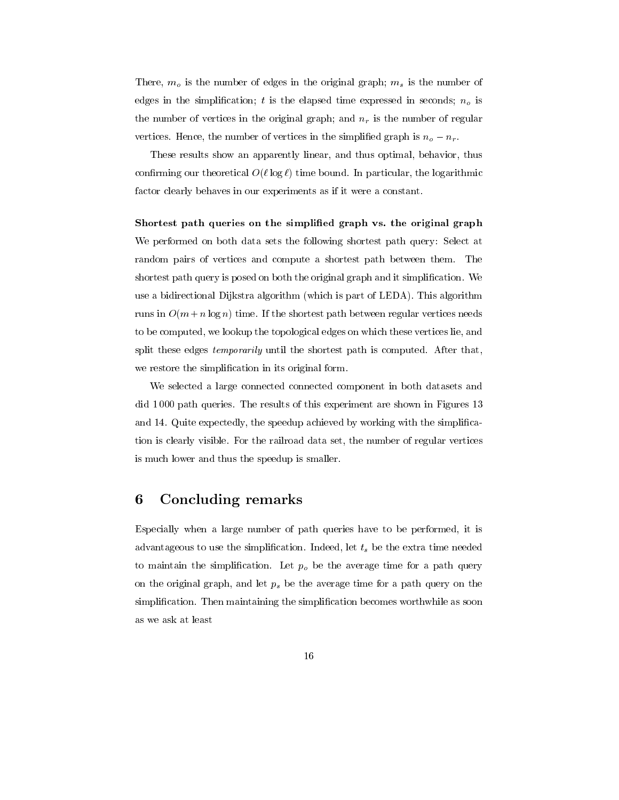There,  $m_o$  is the number of edges in the original graph;  $m_s$  is the number of edges in the simplification; t is the elapsed time expressed in seconds;  $n<sub>o</sub>$  is the number of vertices in the original graph; and  $n_r$  is the number of regular vertices. Hence, the number of vertices in the simplified graph is  $n_o - n_r$ .

These results show an apparently linear, and thus optimal, behavior, thus confirming our theoretical  $O(\ell \log \ell)$  time bound. In particular, the logarithmic factor clearly behaves in our experiments as if it were a constant.

Shortest path queries on the simplified graph vs. the original graph We performed on both data sets the following shortest path query: Select at random pairs of vertices and compute a shortest path between them. The shortest path query is posed on both the original graph and it simplification. We use a bidirectional Dijkstra algorithm (which is part of LEDA). This algorithm runs in  $O(m + n \log n)$  time. If the shortest path between regular vertices needs to be computed, we lookup the topological edges on which these vertices lie, and split these edges *temporarily* until the shortest path is computed. After that, we restore the simplification in its original form.

We selected a large connected connected component in both datasets and did 1000 path queries. The results of this experiment are shown in Figures 13 and 14. Quite expectedly, the speedup achieved by working with the simplification is clearly visible. For the railroad data set, the number of regular vertices is much lower and thus the speedup is smaller.

#### **Concluding remarks** 6

Especially when a large number of path queries have to be performed, it is advantageous to use the simplification. Indeed, let  $t_s$  be the extra time needed to maintain the simplification. Let  $p<sub>o</sub>$  be the average time for a path query on the original graph, and let  $p_s$  be the average time for a path query on the simplification. Then maintaining the simplification becomes worthwhile as soon as we ask at least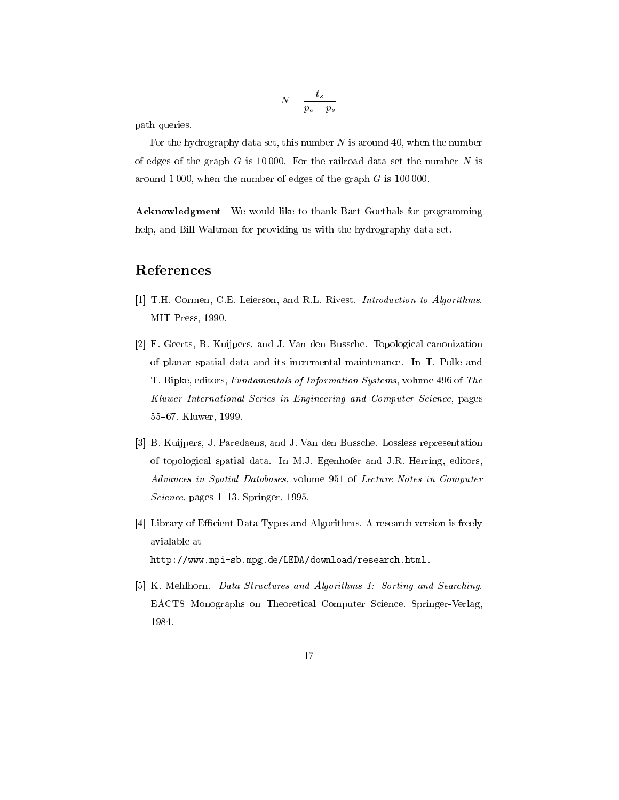$$
N = \frac{t_s}{p_o - p_s}
$$

path queries.

For the hydrography data set, this number  $N$  is around 40, when the number of edges of the graph  $G$  is 10000. For the railroad data set the number  $N$  is around 1000, when the number of edges of the graph  $G$  is 100000.

**Acknowledgment** We would like to thank Bart Goethals for programming help, and Bill Waltman for providing us with the hydrography data set.

## References

- [1] T.H. Cormen, C.E. Leierson, and R.L. Rivest. Introduction to Algorithms. MIT Press, 1990.
- [2] F. Geerts, B. Kuijpers, and J. Van den Bussche. Topological canonization of planar spatial data and its incremental maintenance. In T. Polle and T. Ripke, editors, Fundamentals of Information Systems, volume 496 of The Kluwer International Series in Engineering and Computer Science, pages 55-67. Kluwer, 1999.
- [3] B. Kuijpers, J. Paredaens, and J. Van den Bussche. Lossless representation of topological spatial data. In M.J. Egenhofer and J.R. Herring, editors, Advances in Spatial Databases, volume 951 of Lecture Notes in Computer *Science*, pages  $1-13$ . Springer, 1995.
- [4] Library of Efficient Data Types and Algorithms. A research version is freely avialable at http://www.mpi-sb.mpg.de/LEDA/download/research.html.
- [5] K. Mehlhorn. Data Structures and Algorithms 1: Sorting and Searching. EACTS Monographs on Theoretical Computer Science. Springer-Verlag, 1984.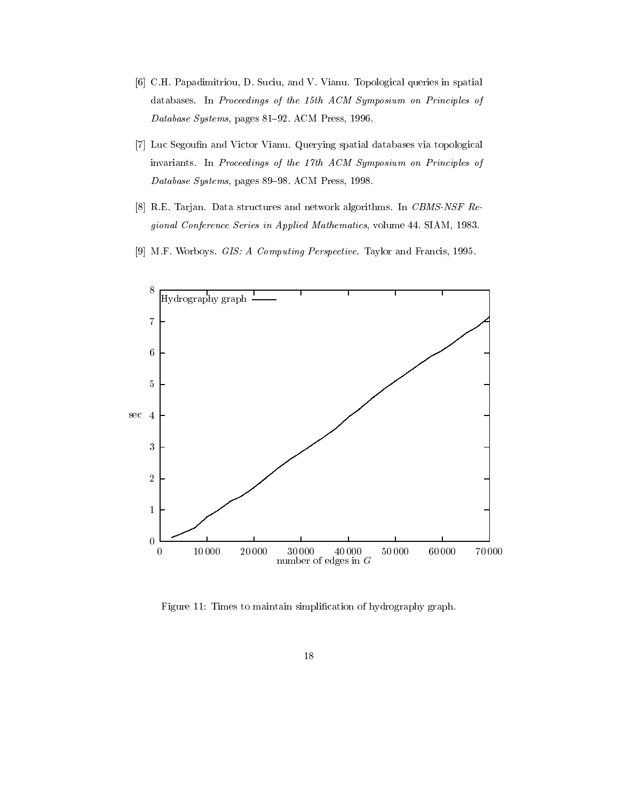- [6] C.H. Papadimitriou, D. Suciu, and V. Vianu. Topological queries in spatial databases. In Proceedings of the 15th ACM Symposium on Principles of Database Systems, pages 81-92. ACM Press, 1996.
- [7] Luc Segoufin and Victor Vianu. Querying spatial databases via topological invariants. In Proceedings of the 17th ACM Symposium on Principles of Database Systems, pages 89-98. ACM Press, 1998.
- [8] R.E. Tarjan. Data structures and network algorithms. In CBMS-NSF Regional Conference Series in Applied Mathematics, volume 44. SIAM, 1983.
- [9] M.F. Worboys. *GIS: A Computing Perspective*. Taylor and Francis, 1995.



Figure 11: Times to maintain simplification of hydrography graph.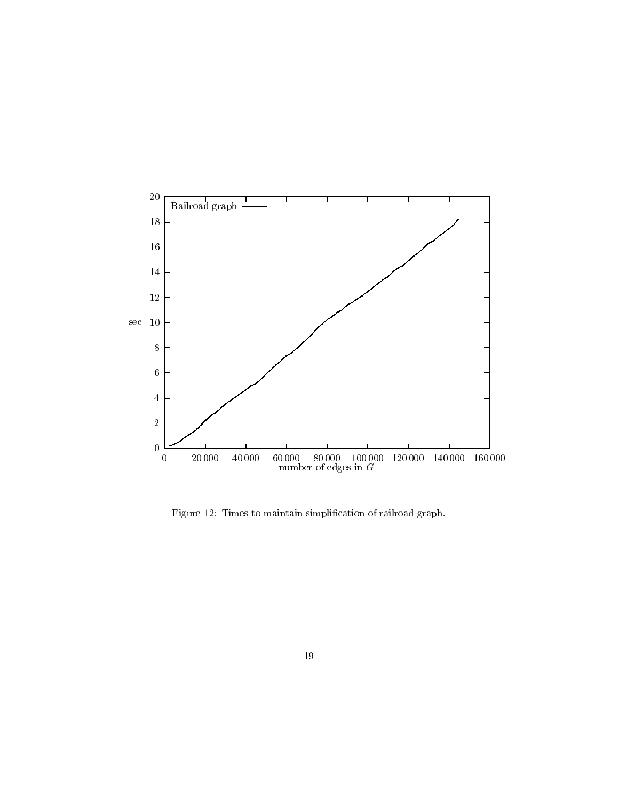

Figure 12: Times to maintain simplification of railroad graph.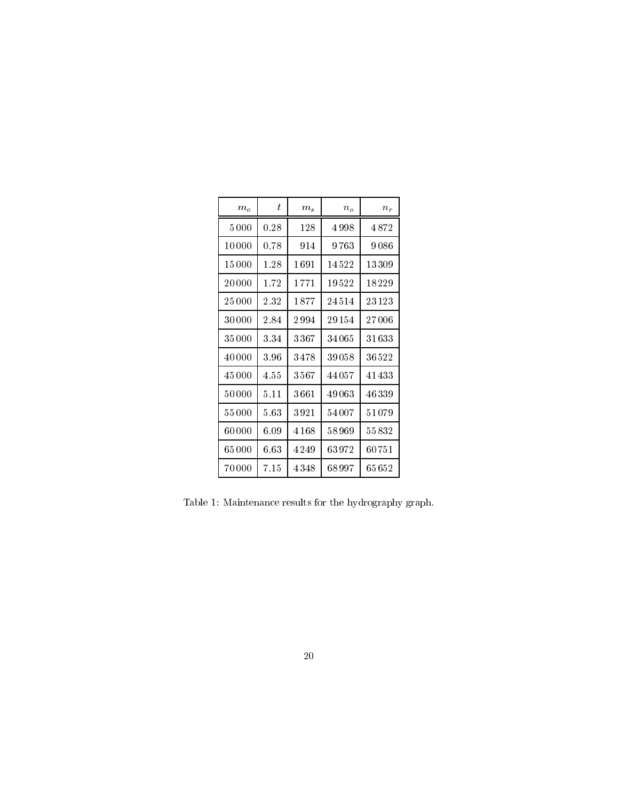| m <sub>o</sub> | t.   | m <sub>s</sub> | $n_{o}$   | $n_{r}$   |
|----------------|------|----------------|-----------|-----------|
| 5000           | 0.28 | 128            | 4 998     | 4872      |
| 10000          | 0.78 | 914            | 9 763     | 9086      |
| 15 000         | 1.28 | 1691           | 14522     | 13309     |
| 20 000         | 1.72 | 1 771          | 19522     | 18229     |
| 25 000         | 2 32 | 1877           | 24 514    | 23123     |
| 30 000         | 2.84 | 2 994          | 29154     | $27\,006$ |
| 35 000         | 3.34 | 3367           | 34 065    | $31\,633$ |
| 40 000         | 3.96 | 3478           | $39\,058$ | 36522     |
| 45 000         | 4.55 | $3\,567$       | 44 05 7   | 41433     |
| 50000          | 5.11 | $3\,661$       | 49063     | 46339     |
| 55 000         | 5.63 | 3921           | 54007     | 51079     |
| 60000          | 6.09 | 4 168          | 58 969    | 55832     |
| 65 000         | 6.63 | 4 249          | 63972     | 60751     |
| 70 000         | 7.15 | 4 348          | 68 997    | 65 652    |

Table 1: Maintenance results for the hydrography graph.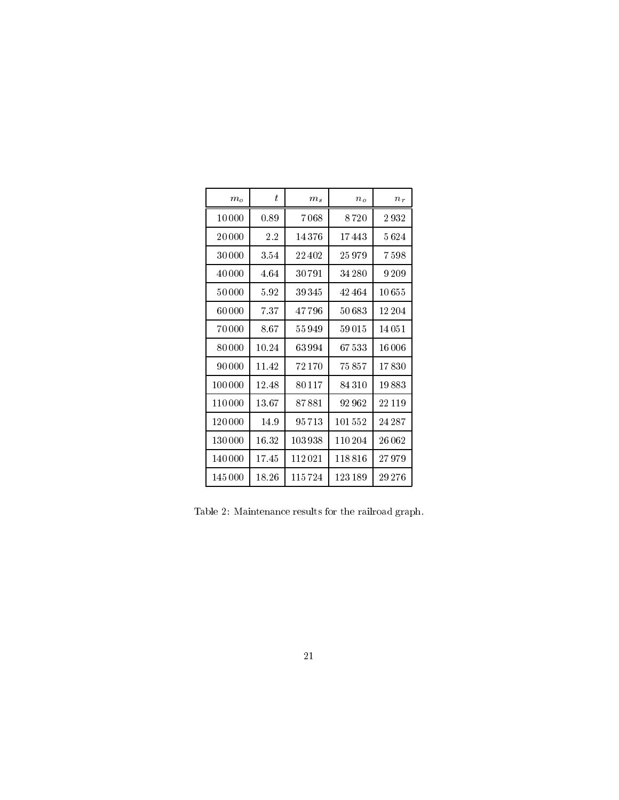| m <sub>o</sub> | t.    | $m_s$  | $n_{o}$   | $n_r$   |
|----------------|-------|--------|-----------|---------|
| 10 000         | 0.89  | 7068   | 8 720     | 2932    |
| 20 000         | 2.2   | 14376  | 17443     | 5624    |
| 30000          | 3.54  | 22402  | 25979     | 7598    |
| 40 000         | 4.64  | 30 791 | 34 280    | 9 2 0 9 |
| 50000          | 5.92  | 39345  | 42464     | 10655   |
| $60\,000$      | 7.37  | 47796  | $50\,683$ | 12 204  |
| 70000          | 8.67  | 55949  | 59015     | 14051   |
| 80000          | 10.24 | 63994  | 67533     | 16006   |
| 90 000         | 11.42 | 72170  | 75 857    | 17830   |
| 100 000        | 12.48 | 80117  | 84310     | 19883   |
| 110 000        | 13.67 | 87881  | 92 962    | 22 119  |
| 120 000        | 14.9  | 95713  | 101552    | 24 28 7 |
| 130 000        | 16.32 | 103938 | 110204    | 26062   |
| 140 000        | 17.45 | 112021 | 118816    | 27979   |
| 145 000        | 18.26 | 115724 | 123189    | 29 276  |

Table 2: Maintenance results for the railroad graph.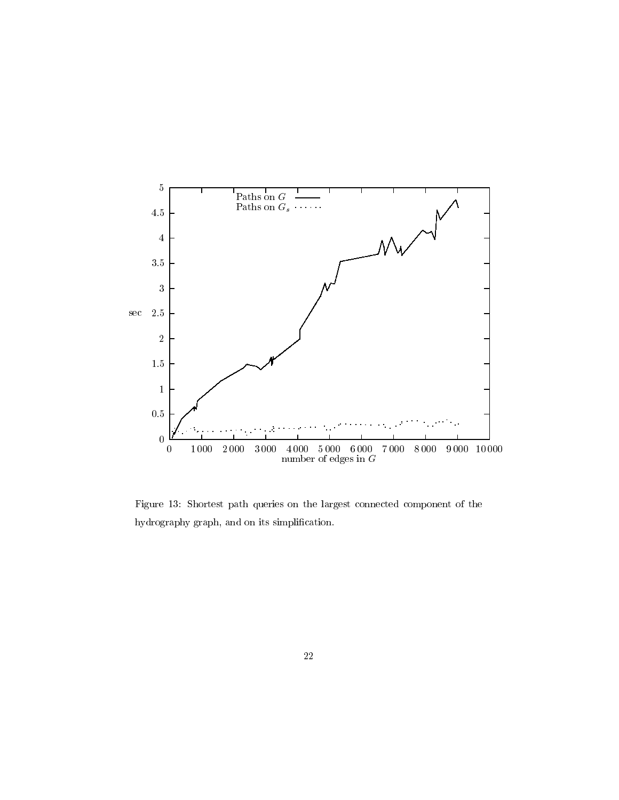

Figure 13: Shortest path queries on the largest connected component of the hydrography graph, and on its simplification.